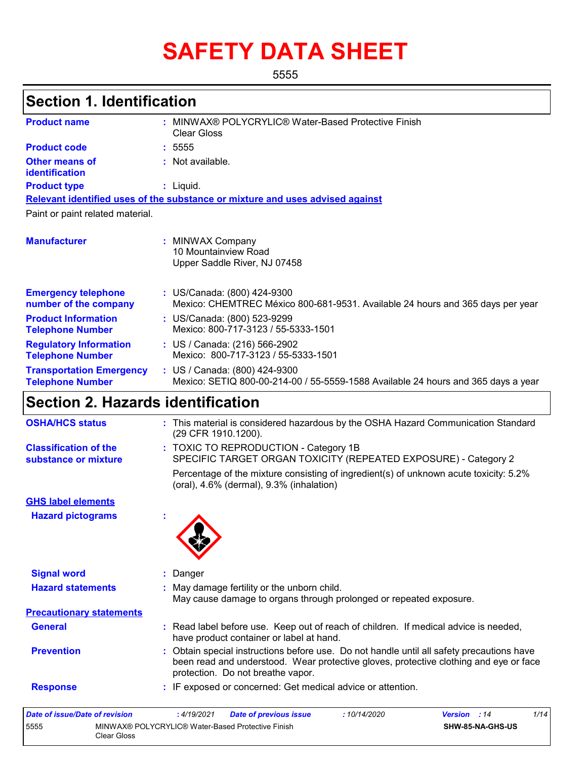# **SAFETY DATA SHEET**

5555

## **Section 1. Identification**

| <b>Product name</b>                                        | ٠ | MINWAX® POLYCRYLIC® Water-Based Protective Finish<br><b>Clear Gloss</b>                                            |
|------------------------------------------------------------|---|--------------------------------------------------------------------------------------------------------------------|
| <b>Product code</b>                                        |   | : 5555                                                                                                             |
| <b>Other means of</b><br><b>identification</b>             |   | : Not available.                                                                                                   |
| <b>Product type</b>                                        |   | : Liquid.                                                                                                          |
|                                                            |   | Relevant identified uses of the substance or mixture and uses advised against                                      |
| Paint or paint related material.                           |   |                                                                                                                    |
| <b>Manufacturer</b>                                        |   | : MINWAX Company<br>10 Mountainview Road<br>Upper Saddle River, NJ 07458                                           |
| <b>Emergency telephone</b><br>number of the company        |   | : US/Canada: (800) 424-9300<br>Mexico: CHEMTREC México 800-681-9531. Available 24 hours and 365 days per year      |
| <b>Product Information</b><br><b>Telephone Number</b>      |   | : US/Canada: (800) 523-9299<br>Mexico: 800-717-3123 / 55-5333-1501                                                 |
| <b>Regulatory Information</b><br><b>Telephone Number</b>   |   | : US / Canada: (216) 566-2902<br>Mexico: 800-717-3123 / 55-5333-1501                                               |
| <b>Transportation Emergency</b><br><b>Telephone Number</b> |   | : US / Canada: (800) 424-9300<br>Mexico: SETIQ 800-00-214-00 / 55-5559-1588 Available 24 hours and 365 days a year |

### **Section 2. Hazards identification**

| <b>OSHA/HCS status</b>                               | : This material is considered hazardous by the OSHA Hazard Communication Standard<br>(29 CFR 1910.1200).                                                                                                                |
|------------------------------------------------------|-------------------------------------------------------------------------------------------------------------------------------------------------------------------------------------------------------------------------|
| <b>Classification of the</b><br>substance or mixture | : TOXIC TO REPRODUCTION - Category 1B<br>SPECIFIC TARGET ORGAN TOXICITY (REPEATED EXPOSURE) - Category 2                                                                                                                |
|                                                      | Percentage of the mixture consisting of ingredient(s) of unknown acute toxicity: 5.2%<br>$(oral), 4.6\% (dermal), 9.3\% (inhalation)$                                                                                   |
| <b>GHS label elements</b>                            |                                                                                                                                                                                                                         |
| <b>Hazard pictograms</b>                             |                                                                                                                                                                                                                         |
| <b>Signal word</b>                                   | Danger                                                                                                                                                                                                                  |
| <b>Hazard statements</b>                             | May damage fertility or the unborn child.<br>May cause damage to organs through prolonged or repeated exposure.                                                                                                         |
| <b>Precautionary statements</b>                      |                                                                                                                                                                                                                         |
|                                                      |                                                                                                                                                                                                                         |
| <b>General</b>                                       | : Read label before use. Keep out of reach of children. If medical advice is needed,<br>have product container or label at hand.                                                                                        |
| <b>Prevention</b>                                    | : Obtain special instructions before use. Do not handle until all safety precautions have<br>been read and understood. Wear protective gloves, protective clothing and eye or face<br>protection. Do not breathe vapor. |

| Date of issue/Date of revision |                                                                  | : 4/19/2021 | <b>Date of previous issue</b> | : 10/14/2020 | <b>Version</b> : 14 |                         | 1/14 |
|--------------------------------|------------------------------------------------------------------|-------------|-------------------------------|--------------|---------------------|-------------------------|------|
| 5555                           | MINWAX® POLYCRYLIC® Water-Based Protective Finish<br>Clear Gloss |             |                               |              |                     | <b>SHW-85-NA-GHS-US</b> |      |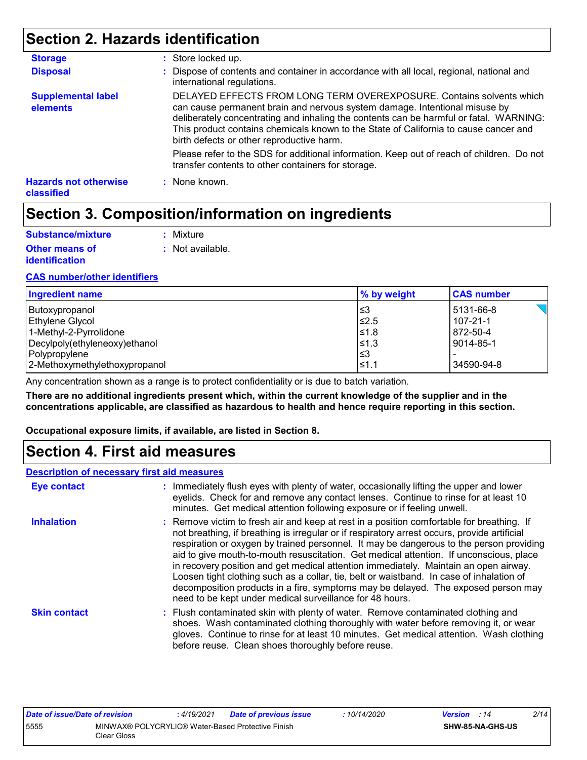### **Section 2. Hazards identification**

| <b>Storage</b>                             | : Store locked up.                                                                                                                                                                                                                                                                                                                                                                |
|--------------------------------------------|-----------------------------------------------------------------------------------------------------------------------------------------------------------------------------------------------------------------------------------------------------------------------------------------------------------------------------------------------------------------------------------|
| <b>Disposal</b>                            | : Dispose of contents and container in accordance with all local, regional, national and<br>international regulations.                                                                                                                                                                                                                                                            |
| <b>Supplemental label</b><br>elements      | DELAYED EFFECTS FROM LONG TERM OVEREXPOSURE. Contains solvents which<br>can cause permanent brain and nervous system damage. Intentional misuse by<br>deliberately concentrating and inhaling the contents can be harmful or fatal. WARNING:<br>This product contains chemicals known to the State of California to cause cancer and<br>birth defects or other reproductive harm. |
|                                            | Please refer to the SDS for additional information. Keep out of reach of children. Do not<br>transfer contents to other containers for storage.                                                                                                                                                                                                                                   |
| <b>Hazards not otherwise</b><br>classified | : None known.                                                                                                                                                                                                                                                                                                                                                                     |

### **Section 3. Composition/information on ingredients**

| Substance/mixture     | : Mixture        |
|-----------------------|------------------|
| <b>Other means of</b> | : Not available. |
| <i>identification</i> |                  |

#### **CAS number/other identifiers**

| Ingredient name               | % by weight | <b>CAS number</b> |
|-------------------------------|-------------|-------------------|
| Butoxypropanol                | ו≤3         | 5131-66-8         |
| Ethylene Glycol               | $≤2.5$      | $107 - 21 - 1$    |
| 1-Methyl-2-Pyrrolidone        | 1≤1.8       | 872-50-4          |
| Decylpoly(ethyleneoxy)ethanol | 1≤1.3       | 9014-85-1         |
| Polypropylene                 | l≤3         |                   |
| 2-Methoxymethylethoxypropanol | $\leq 1.1$  | 34590-94-8        |

Any concentration shown as a range is to protect confidentiality or is due to batch variation.

**There are no additional ingredients present which, within the current knowledge of the supplier and in the concentrations applicable, are classified as hazardous to health and hence require reporting in this section.**

**Occupational exposure limits, if available, are listed in Section 8.**

### **Section 4. First aid measures**

|                     | <b>Description of necessary first aid measures</b>                                                                                                                                                                                                                                                                                                                                                                                                                                                                                                                                                                                                                                                                  |  |  |  |  |
|---------------------|---------------------------------------------------------------------------------------------------------------------------------------------------------------------------------------------------------------------------------------------------------------------------------------------------------------------------------------------------------------------------------------------------------------------------------------------------------------------------------------------------------------------------------------------------------------------------------------------------------------------------------------------------------------------------------------------------------------------|--|--|--|--|
| <b>Eye contact</b>  | : Immediately flush eyes with plenty of water, occasionally lifting the upper and lower<br>eyelids. Check for and remove any contact lenses. Continue to rinse for at least 10<br>minutes. Get medical attention following exposure or if feeling unwell.                                                                                                                                                                                                                                                                                                                                                                                                                                                           |  |  |  |  |
| <b>Inhalation</b>   | : Remove victim to fresh air and keep at rest in a position comfortable for breathing. If<br>not breathing, if breathing is irregular or if respiratory arrest occurs, provide artificial<br>respiration or oxygen by trained personnel. It may be dangerous to the person providing<br>aid to give mouth-to-mouth resuscitation. Get medical attention. If unconscious, place<br>in recovery position and get medical attention immediately. Maintain an open airway.<br>Loosen tight clothing such as a collar, tie, belt or waistband. In case of inhalation of<br>decomposition products in a fire, symptoms may be delayed. The exposed person may<br>need to be kept under medical surveillance for 48 hours. |  |  |  |  |
| <b>Skin contact</b> | : Flush contaminated skin with plenty of water. Remove contaminated clothing and<br>shoes. Wash contaminated clothing thoroughly with water before removing it, or wear<br>gloves. Continue to rinse for at least 10 minutes. Get medical attention. Wash clothing<br>before reuse. Clean shoes thoroughly before reuse.                                                                                                                                                                                                                                                                                                                                                                                            |  |  |  |  |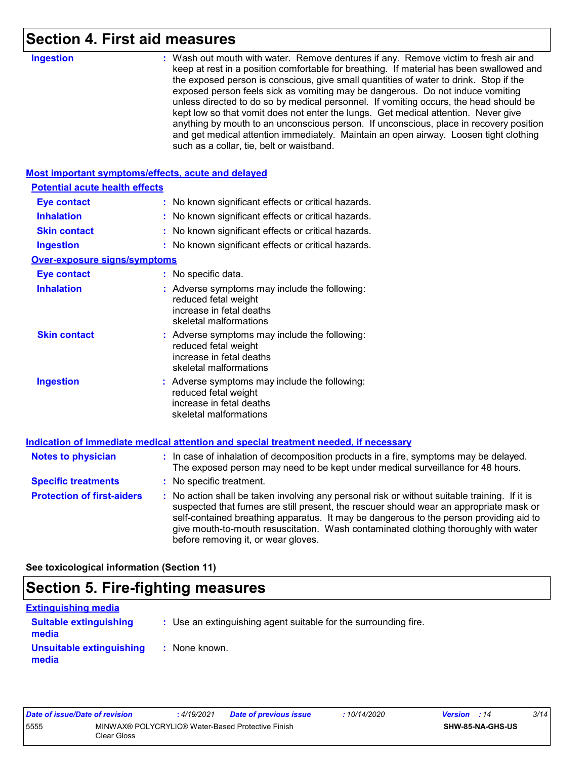### **Section 4. First aid measures**

| <b>Ingestion</b>                                   | : Wash out mouth with water. Remove dentures if any. Remove victim to fresh air and<br>keep at rest in a position comfortable for breathing. If material has been swallowed and<br>the exposed person is conscious, give small quantities of water to drink. Stop if the<br>exposed person feels sick as vomiting may be dangerous. Do not induce vomiting<br>unless directed to do so by medical personnel. If vomiting occurs, the head should be<br>kept low so that vomit does not enter the lungs. Get medical attention. Never give<br>anything by mouth to an unconscious person. If unconscious, place in recovery position<br>and get medical attention immediately. Maintain an open airway. Loosen tight clothing<br>such as a collar, tie, belt or waistband. |
|----------------------------------------------------|---------------------------------------------------------------------------------------------------------------------------------------------------------------------------------------------------------------------------------------------------------------------------------------------------------------------------------------------------------------------------------------------------------------------------------------------------------------------------------------------------------------------------------------------------------------------------------------------------------------------------------------------------------------------------------------------------------------------------------------------------------------------------|
| Most important symptoms/effects, acute and delayed |                                                                                                                                                                                                                                                                                                                                                                                                                                                                                                                                                                                                                                                                                                                                                                           |
| <b>Potential acute health effects</b>              |                                                                                                                                                                                                                                                                                                                                                                                                                                                                                                                                                                                                                                                                                                                                                                           |
| <b>Eye contact</b>                                 | : No known significant effects or critical hazards.                                                                                                                                                                                                                                                                                                                                                                                                                                                                                                                                                                                                                                                                                                                       |
| <b>Inhalation</b>                                  | : No known significant effects or critical hazards.                                                                                                                                                                                                                                                                                                                                                                                                                                                                                                                                                                                                                                                                                                                       |
| <b>Skin contact</b>                                | : No known significant effects or critical hazards.                                                                                                                                                                                                                                                                                                                                                                                                                                                                                                                                                                                                                                                                                                                       |
| <b>Ingestion</b>                                   | : No known significant effects or critical hazards.                                                                                                                                                                                                                                                                                                                                                                                                                                                                                                                                                                                                                                                                                                                       |
| <b>Over-exposure signs/symptoms</b>                |                                                                                                                                                                                                                                                                                                                                                                                                                                                                                                                                                                                                                                                                                                                                                                           |
| <b>Eye contact</b>                                 | : No specific data.                                                                                                                                                                                                                                                                                                                                                                                                                                                                                                                                                                                                                                                                                                                                                       |
| <b>Inhalation</b>                                  | : Adverse symptoms may include the following:<br>reduced fetal weight<br>increase in fetal deaths<br>skeletal malformations                                                                                                                                                                                                                                                                                                                                                                                                                                                                                                                                                                                                                                               |
| <b>Skin contact</b>                                | : Adverse symptoms may include the following:<br>reduced fetal weight<br>increase in fetal deaths<br>skeletal malformations                                                                                                                                                                                                                                                                                                                                                                                                                                                                                                                                                                                                                                               |
| <b>Ingestion</b>                                   | : Adverse symptoms may include the following:<br>reduced fetal weight<br>increase in fetal deaths<br>skeletal malformations                                                                                                                                                                                                                                                                                                                                                                                                                                                                                                                                                                                                                                               |
|                                                    | Indication of immediate medical attention and special treatment needed, if necessary                                                                                                                                                                                                                                                                                                                                                                                                                                                                                                                                                                                                                                                                                      |
| <b>Notes to physician</b>                          | : In case of inhalation of decomposition products in a fire, symptoms may be delayed.<br>The exposed person may need to be kept under medical surveillance for 48 hours.                                                                                                                                                                                                                                                                                                                                                                                                                                                                                                                                                                                                  |
| <b>Specific treatments</b>                         | : No specific treatment.                                                                                                                                                                                                                                                                                                                                                                                                                                                                                                                                                                                                                                                                                                                                                  |
| <b>Protection of first-aiders</b>                  | : No action shall be taken involving any personal risk or without suitable training. If it is<br>suspected that fumes are still present, the rescuer should wear an appropriate mask or<br>self-contained breathing apparatus. It may be dangerous to the person providing aid to<br>give mouth-to-mouth resuscitation. Wash contaminated clothing thoroughly with water<br>before removing it, or wear gloves.                                                                                                                                                                                                                                                                                                                                                           |

**See toxicological information (Section 11)**

## **Section 5. Fire-fighting measures**

| <b>Extinguishing media</b>             |                                                                 |
|----------------------------------------|-----------------------------------------------------------------|
| <b>Suitable extinguishing</b><br>media | : Use an extinguishing agent suitable for the surrounding fire. |
| Unsuitable extinguishing<br>media      | : None known.                                                   |

| Date of issue/Date of revision |                                                                  | : 4/19/2021 | Date of previous issue | : 10/14/2020 | <b>Version</b> : 14 |                         | 3/14 |
|--------------------------------|------------------------------------------------------------------|-------------|------------------------|--------------|---------------------|-------------------------|------|
| 5555                           | MINWAX® POLYCRYLIC® Water-Based Protective Finish<br>Clear Gloss |             |                        |              |                     | <b>SHW-85-NA-GHS-US</b> |      |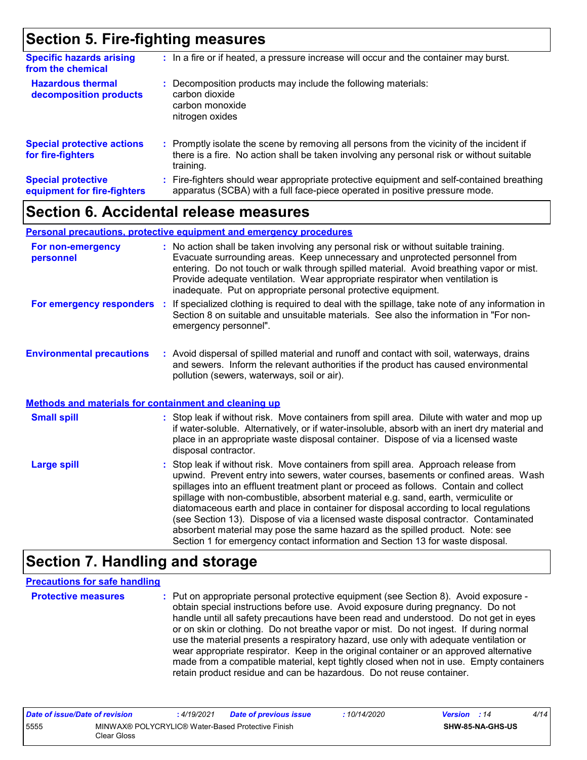### **Section 5. Fire-fighting measures**

| <b>Specific hazards arising</b><br>from the chemical     | : In a fire or if heated, a pressure increase will occur and the container may burst.                                                                                                               |
|----------------------------------------------------------|-----------------------------------------------------------------------------------------------------------------------------------------------------------------------------------------------------|
| <b>Hazardous thermal</b><br>decomposition products       | Decomposition products may include the following materials:<br>carbon dioxide<br>carbon monoxide<br>nitrogen oxides                                                                                 |
| <b>Special protective actions</b><br>for fire-fighters   | : Promptly isolate the scene by removing all persons from the vicinity of the incident if<br>there is a fire. No action shall be taken involving any personal risk or without suitable<br>training. |
| <b>Special protective</b><br>equipment for fire-fighters | Fire-fighters should wear appropriate protective equipment and self-contained breathing<br>apparatus (SCBA) with a full face-piece operated in positive pressure mode.                              |

### **Section 6. Accidental release measures**

#### **Personal precautions, protective equipment and emergency procedures**

| For non-emergency<br>personnel                               | : No action shall be taken involving any personal risk or without suitable training.<br>Evacuate surrounding areas. Keep unnecessary and unprotected personnel from<br>entering. Do not touch or walk through spilled material. Avoid breathing vapor or mist.<br>Provide adequate ventilation. Wear appropriate respirator when ventilation is<br>inadequate. Put on appropriate personal protective equipment. |
|--------------------------------------------------------------|------------------------------------------------------------------------------------------------------------------------------------------------------------------------------------------------------------------------------------------------------------------------------------------------------------------------------------------------------------------------------------------------------------------|
| For emergency responders                                     | : If specialized clothing is required to deal with the spillage, take note of any information in<br>Section 8 on suitable and unsuitable materials. See also the information in "For non-<br>emergency personnel".                                                                                                                                                                                               |
| <b>Environmental precautions</b>                             | : Avoid dispersal of spilled material and runoff and contact with soil, waterways, drains<br>and sewers. Inform the relevant authorities if the product has caused environmental<br>pollution (sewers, waterways, soil or air).                                                                                                                                                                                  |
| <b>Methods and materials for containment and cleaning up</b> |                                                                                                                                                                                                                                                                                                                                                                                                                  |
| <b>Small spill</b>                                           | : Stop leak if without risk. Move containers from spill area. Dilute with water and mop up                                                                                                                                                                                                                                                                                                                       |

if water-soluble. Alternatively, or if water-insoluble, absorb with an inert dry material and place in an appropriate waste disposal container. Dispose of via a licensed waste

disposal contractor.

: Stop leak if without risk. Move containers from spill area. Approach release from upwind. Prevent entry into sewers, water courses, basements or confined areas. Wash spillages into an effluent treatment plant or proceed as follows. Contain and collect spillage with non-combustible, absorbent material e.g. sand, earth, vermiculite or diatomaceous earth and place in container for disposal according to local regulations (see Section 13). Dispose of via a licensed waste disposal contractor. Contaminated absorbent material may pose the same hazard as the spilled product. Note: see Section 1 for emergency contact information and Section 13 for waste disposal. **Large spill :**

### **Section 7. Handling and storage**

#### **Precautions for safe handling**

**Protective measures** : Put on appropriate personal protective equipment (see Section 8). Avoid exposure obtain special instructions before use. Avoid exposure during pregnancy. Do not handle until all safety precautions have been read and understood. Do not get in eyes or on skin or clothing. Do not breathe vapor or mist. Do not ingest. If during normal use the material presents a respiratory hazard, use only with adequate ventilation or wear appropriate respirator. Keep in the original container or an approved alternative made from a compatible material, kept tightly closed when not in use. Empty containers retain product residue and can be hazardous. Do not reuse container.

| Date of issue/Date of revision |                                                                  | : 4/19/2021 | <b>Date of previous issue</b> | : 10/14/2020 | <b>Version</b> : 14 |                         | 4/14 |
|--------------------------------|------------------------------------------------------------------|-------------|-------------------------------|--------------|---------------------|-------------------------|------|
| 5555                           | MINWAX® POLYCRYLIC® Water-Based Protective Finish<br>Clear Gloss |             |                               |              |                     | <b>SHW-85-NA-GHS-US</b> |      |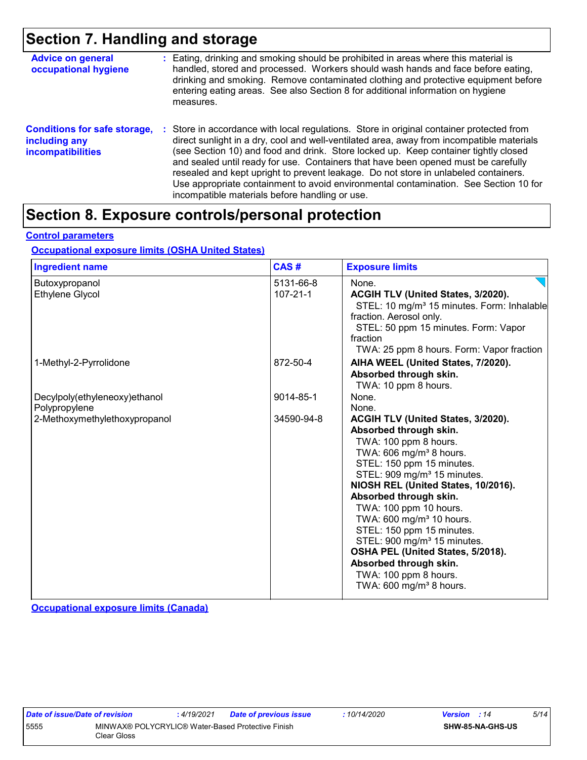### **Section 7. Handling and storage**

| <b>Advice on general</b><br>occupational hygiene                                 | : Eating, drinking and smoking should be prohibited in areas where this material is<br>handled, stored and processed. Workers should wash hands and face before eating,<br>drinking and smoking. Remove contaminated clothing and protective equipment before<br>entering eating areas. See also Section 8 for additional information on hygiene<br>measures.                                                                                                                                                                                                                                           |
|----------------------------------------------------------------------------------|---------------------------------------------------------------------------------------------------------------------------------------------------------------------------------------------------------------------------------------------------------------------------------------------------------------------------------------------------------------------------------------------------------------------------------------------------------------------------------------------------------------------------------------------------------------------------------------------------------|
| <b>Conditions for safe storage,</b><br>including any<br><b>incompatibilities</b> | Store in accordance with local regulations. Store in original container protected from<br>÷.<br>direct sunlight in a dry, cool and well-ventilated area, away from incompatible materials<br>(see Section 10) and food and drink. Store locked up. Keep container tightly closed<br>and sealed until ready for use. Containers that have been opened must be carefully<br>resealed and kept upright to prevent leakage. Do not store in unlabeled containers.<br>Use appropriate containment to avoid environmental contamination. See Section 10 for<br>incompatible materials before handling or use. |

### **Section 8. Exposure controls/personal protection**

**Control parameters**

#### **Occupational exposure limits (OSHA United States)**

| <b>Ingredient name</b>        | CAS#           | <b>Exposure limits</b>                                               |
|-------------------------------|----------------|----------------------------------------------------------------------|
| Butoxypropanol                | 5131-66-8      | None.                                                                |
| <b>Ethylene Glycol</b>        | $107 - 21 - 1$ | ACGIH TLV (United States, 3/2020).                                   |
|                               |                | STEL: 10 mg/m <sup>3</sup> 15 minutes. Form: Inhalable               |
|                               |                | fraction. Aerosol only.                                              |
|                               |                | STEL: 50 ppm 15 minutes. Form: Vapor                                 |
|                               |                | fraction                                                             |
|                               |                | TWA: 25 ppm 8 hours. Form: Vapor fraction                            |
| 1-Methyl-2-Pyrrolidone        | 872-50-4       | AIHA WEEL (United States, 7/2020).                                   |
|                               |                | Absorbed through skin.                                               |
|                               |                | TWA: 10 ppm 8 hours.                                                 |
| Decylpoly(ethyleneoxy)ethanol | 9014-85-1      | None.                                                                |
| Polypropylene                 |                | None.                                                                |
| 2-Methoxymethylethoxypropanol | 34590-94-8     | ACGIH TLV (United States, 3/2020).                                   |
|                               |                | Absorbed through skin.                                               |
|                               |                | TWA: 100 ppm 8 hours.                                                |
|                               |                | TWA: 606 mg/m <sup>3</sup> 8 hours.                                  |
|                               |                | STEL: 150 ppm 15 minutes.                                            |
|                               |                | STEL: 909 mg/m <sup>3</sup> 15 minutes.                              |
|                               |                | NIOSH REL (United States, 10/2016).                                  |
|                               |                | Absorbed through skin.                                               |
|                               |                | TWA: 100 ppm 10 hours.                                               |
|                               |                | TWA: 600 mg/m <sup>3</sup> 10 hours.                                 |
|                               |                | STEL: 150 ppm 15 minutes.<br>STEL: 900 mg/m <sup>3</sup> 15 minutes. |
|                               |                | OSHA PEL (United States, 5/2018).                                    |
|                               |                | Absorbed through skin.                                               |
|                               |                | TWA: 100 ppm 8 hours.                                                |
|                               |                | TWA: $600 \text{ mg/m}^3$ 8 hours.                                   |
|                               |                |                                                                      |

**Occupational exposure limits (Canada)**

| Date of issue/Date of revision                                           |  | : 4/19/2021 | <b>Date of previous issue</b> | 10/14/2020 | <b>Version</b> : 14     | 5/14 |
|--------------------------------------------------------------------------|--|-------------|-------------------------------|------------|-------------------------|------|
| 5555<br>MINWAX® POLYCRYLIC® Water-Based Protective Finish<br>Clear Gloss |  |             |                               |            | <b>SHW-85-NA-GHS-US</b> |      |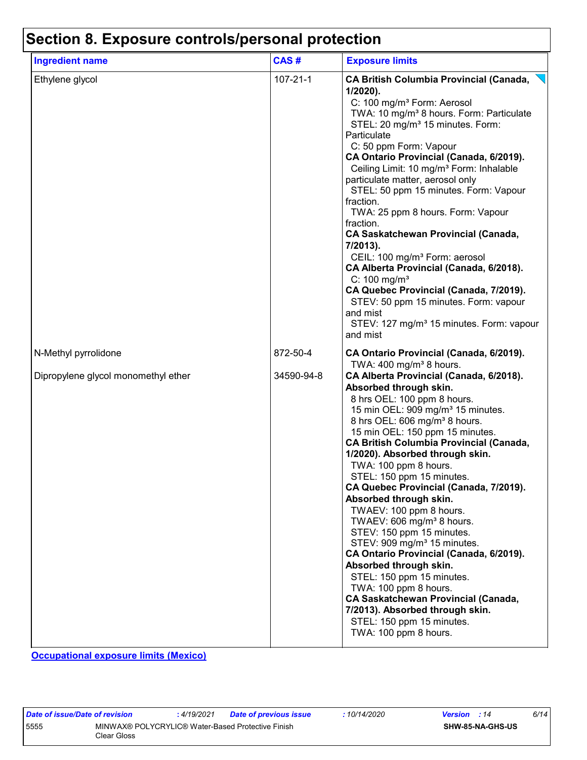## **Section 8. Exposure controls/personal protection**

| <b>Ingredient name</b>              | CAS#           | <b>Exposure limits</b>                                                                                                                                                                                                                                                                                                                                                                                                                                                                                                                                                                                                                                                                                                                                                                                                                                         |
|-------------------------------------|----------------|----------------------------------------------------------------------------------------------------------------------------------------------------------------------------------------------------------------------------------------------------------------------------------------------------------------------------------------------------------------------------------------------------------------------------------------------------------------------------------------------------------------------------------------------------------------------------------------------------------------------------------------------------------------------------------------------------------------------------------------------------------------------------------------------------------------------------------------------------------------|
| Ethylene glycol                     | $107 - 21 - 1$ | <b>CA British Columbia Provincial (Canada,</b><br>$1/2020$ ).<br>C: 100 mg/m <sup>3</sup> Form: Aerosol<br>TWA: 10 mg/m <sup>3</sup> 8 hours. Form: Particulate<br>STEL: 20 mg/m <sup>3</sup> 15 minutes. Form:<br>Particulate<br>C: 50 ppm Form: Vapour<br>CA Ontario Provincial (Canada, 6/2019).<br>Ceiling Limit: 10 mg/m <sup>3</sup> Form: Inhalable<br>particulate matter, aerosol only<br>STEL: 50 ppm 15 minutes. Form: Vapour<br>fraction.<br>TWA: 25 ppm 8 hours. Form: Vapour<br>fraction.<br><b>CA Saskatchewan Provincial (Canada,</b><br>7/2013).<br>CEIL: 100 mg/m <sup>3</sup> Form: aerosol<br>CA Alberta Provincial (Canada, 6/2018).<br>$C: 100$ mg/m <sup>3</sup><br>CA Quebec Provincial (Canada, 7/2019).<br>STEV: 50 ppm 15 minutes. Form: vapour<br>and mist<br>STEV: 127 mg/m <sup>3</sup> 15 minutes. Form: vapour<br>and mist      |
| N-Methyl pyrrolidone                | 872-50-4       | CA Ontario Provincial (Canada, 6/2019).<br>TWA: $400 \text{ mg/m}^3$ 8 hours.                                                                                                                                                                                                                                                                                                                                                                                                                                                                                                                                                                                                                                                                                                                                                                                  |
| Dipropylene glycol monomethyl ether | 34590-94-8     | CA Alberta Provincial (Canada, 6/2018).<br>Absorbed through skin.<br>8 hrs OEL: 100 ppm 8 hours.<br>15 min OEL: 909 mg/m <sup>3</sup> 15 minutes.<br>8 hrs OEL: 606 mg/m <sup>3</sup> 8 hours.<br>15 min OEL: 150 ppm 15 minutes.<br><b>CA British Columbia Provincial (Canada,</b><br>1/2020). Absorbed through skin.<br>TWA: 100 ppm 8 hours.<br>STEL: 150 ppm 15 minutes.<br>CA Quebec Provincial (Canada, 7/2019).<br>Absorbed through skin.<br>TWAEV: 100 ppm 8 hours.<br>TWAEV: 606 mg/m <sup>3</sup> 8 hours.<br>STEV: 150 ppm 15 minutes.<br>STEV: 909 mg/m <sup>3</sup> 15 minutes.<br>CA Ontario Provincial (Canada, 6/2019).<br>Absorbed through skin.<br>STEL: 150 ppm 15 minutes.<br>TWA: 100 ppm 8 hours.<br><b>CA Saskatchewan Provincial (Canada,</b><br>7/2013). Absorbed through skin.<br>STEL: 150 ppm 15 minutes.<br>TWA: 100 ppm 8 hours. |

**Occupational exposure limits (Mexico)**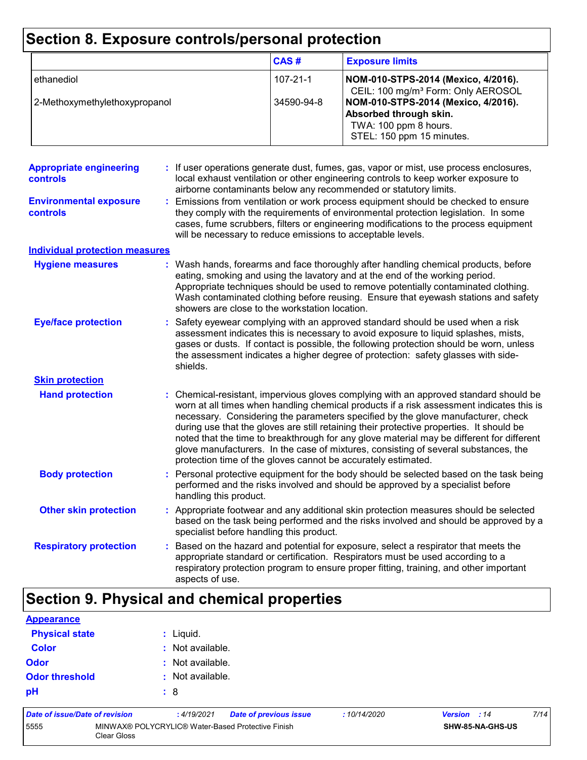## **Section 8. Exposure controls/personal protection**

|                               | CAS#       | <b>Exposure limits</b>                                                                                              |
|-------------------------------|------------|---------------------------------------------------------------------------------------------------------------------|
| ethanediol                    | 107-21-1   | NOM-010-STPS-2014 (Mexico, 4/2016).<br>CEIL: 100 mg/m <sup>3</sup> Form: Only AEROSOL                               |
| 2-Methoxymethylethoxypropanol | 34590-94-8 | NOM-010-STPS-2014 (Mexico, 4/2016).<br>Absorbed through skin.<br>TWA: 100 ppm 8 hours.<br>STEL: 150 ppm 15 minutes. |

| <b>Appropriate engineering</b><br><b>controls</b> | : If user operations generate dust, fumes, gas, vapor or mist, use process enclosures,<br>local exhaust ventilation or other engineering controls to keep worker exposure to<br>airborne contaminants below any recommended or statutory limits.                                                                                                                                                                                                                                                                                                                                                                       |
|---------------------------------------------------|------------------------------------------------------------------------------------------------------------------------------------------------------------------------------------------------------------------------------------------------------------------------------------------------------------------------------------------------------------------------------------------------------------------------------------------------------------------------------------------------------------------------------------------------------------------------------------------------------------------------|
| <b>Environmental exposure</b><br><b>controls</b>  | Emissions from ventilation or work process equipment should be checked to ensure<br>they comply with the requirements of environmental protection legislation. In some<br>cases, fume scrubbers, filters or engineering modifications to the process equipment<br>will be necessary to reduce emissions to acceptable levels.                                                                                                                                                                                                                                                                                          |
| <b>Individual protection measures</b>             |                                                                                                                                                                                                                                                                                                                                                                                                                                                                                                                                                                                                                        |
| <b>Hygiene measures</b>                           | : Wash hands, forearms and face thoroughly after handling chemical products, before<br>eating, smoking and using the lavatory and at the end of the working period.<br>Appropriate techniques should be used to remove potentially contaminated clothing.<br>Wash contaminated clothing before reusing. Ensure that eyewash stations and safety<br>showers are close to the workstation location.                                                                                                                                                                                                                      |
| <b>Eye/face protection</b>                        | Safety eyewear complying with an approved standard should be used when a risk<br>assessment indicates this is necessary to avoid exposure to liquid splashes, mists,<br>gases or dusts. If contact is possible, the following protection should be worn, unless<br>the assessment indicates a higher degree of protection: safety glasses with side-<br>shields.                                                                                                                                                                                                                                                       |
| <b>Skin protection</b>                            |                                                                                                                                                                                                                                                                                                                                                                                                                                                                                                                                                                                                                        |
| <b>Hand protection</b>                            | : Chemical-resistant, impervious gloves complying with an approved standard should be<br>worn at all times when handling chemical products if a risk assessment indicates this is<br>necessary. Considering the parameters specified by the glove manufacturer, check<br>during use that the gloves are still retaining their protective properties. It should be<br>noted that the time to breakthrough for any glove material may be different for different<br>glove manufacturers. In the case of mixtures, consisting of several substances, the<br>protection time of the gloves cannot be accurately estimated. |
| <b>Body protection</b>                            | Personal protective equipment for the body should be selected based on the task being<br>performed and the risks involved and should be approved by a specialist before<br>handling this product.                                                                                                                                                                                                                                                                                                                                                                                                                      |
| <b>Other skin protection</b>                      | Appropriate footwear and any additional skin protection measures should be selected<br>based on the task being performed and the risks involved and should be approved by a<br>specialist before handling this product.                                                                                                                                                                                                                                                                                                                                                                                                |
| <b>Respiratory protection</b>                     | Based on the hazard and potential for exposure, select a respirator that meets the<br>appropriate standard or certification. Respirators must be used according to a<br>respiratory protection program to ensure proper fitting, training, and other important<br>aspects of use.                                                                                                                                                                                                                                                                                                                                      |

## **Section 9. Physical and chemical properties**

| <b>Appearance</b>     |                  |
|-----------------------|------------------|
| <b>Physical state</b> | $:$ Liquid.      |
| <b>Color</b>          | : Not available. |
| <b>Odor</b>           | : Not available. |
| <b>Odor threshold</b> | : Not available. |
| pH                    | $\therefore$ 8   |
|                       |                  |

| Date of issue/Date of revision |                                                                  | : 4/19/2021 | <b>Date of previous issue</b> | :10/14/2020 | <b>Version</b> : 14 |                         | 7/14 |
|--------------------------------|------------------------------------------------------------------|-------------|-------------------------------|-------------|---------------------|-------------------------|------|
| 5555                           | MINWAX® POLYCRYLIC® Water-Based Protective Finish<br>Clear Gloss |             |                               |             |                     | <b>SHW-85-NA-GHS-US</b> |      |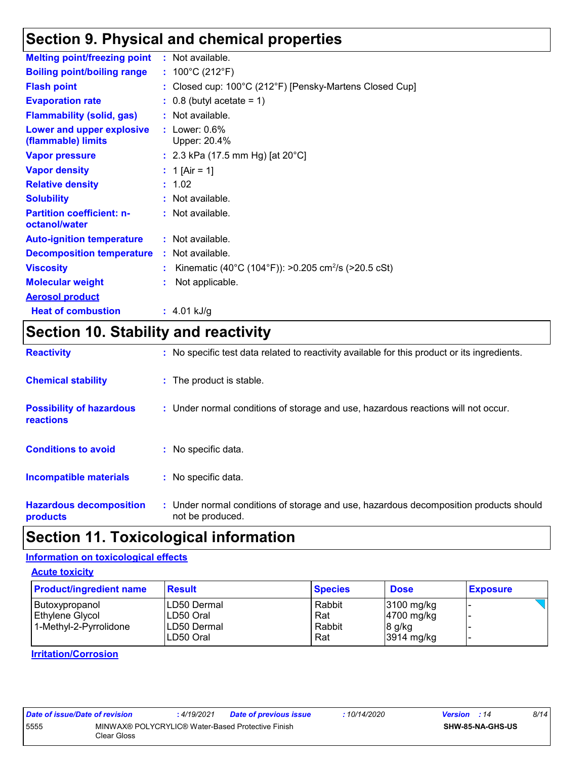### **Section 9. Physical and chemical properties**

| <b>Melting point/freezing point</b>                    | $:$ Not available.                                              |
|--------------------------------------------------------|-----------------------------------------------------------------|
| <b>Boiling point/boiling range</b>                     | : $100^{\circ}$ C (212 $^{\circ}$ F)                            |
| <b>Flash point</b>                                     | : Closed cup: 100°C (212°F) [Pensky-Martens Closed Cup]         |
| <b>Evaporation rate</b>                                | $\therefore$ 0.8 (butyl acetate = 1)                            |
| <b>Flammability (solid, gas)</b>                       | : Not available.                                                |
| <b>Lower and upper explosive</b><br>(flammable) limits | : Lower: $0.6\%$<br>Upper: 20.4%                                |
| <b>Vapor pressure</b>                                  | : 2.3 kPa (17.5 mm Hg) [at $20^{\circ}$ C]                      |
| <b>Vapor density</b>                                   | : 1 [Air = 1]                                                   |
| <b>Relative density</b>                                | : 1.02                                                          |
| <b>Solubility</b>                                      | : Not available.                                                |
| <b>Partition coefficient: n-</b><br>octanol/water      | : Not available.                                                |
| <b>Auto-ignition temperature</b>                       | : Not available.                                                |
| <b>Decomposition temperature</b>                       | : Not available.                                                |
| <b>Viscosity</b>                                       | Kinematic (40°C (104°F)): >0.205 cm <sup>2</sup> /s (>20.5 cSt) |
| <b>Molecular weight</b>                                | Not applicable.                                                 |
| <b>Aerosol product</b>                                 |                                                                 |
| <b>Heat of combustion</b>                              | $: 4.01$ kJ/g                                                   |

## **Section 10. Stability and reactivity**

| <b>Reactivity</b>                            | : No specific test data related to reactivity available for this product or its ingredients.              |
|----------------------------------------------|-----------------------------------------------------------------------------------------------------------|
| <b>Chemical stability</b>                    | : The product is stable.                                                                                  |
| <b>Possibility of hazardous</b><br>reactions | : Under normal conditions of storage and use, hazardous reactions will not occur.                         |
| <b>Conditions to avoid</b>                   | : No specific data.                                                                                       |
| <b>Incompatible materials</b>                | : No specific data.                                                                                       |
| <b>Hazardous decomposition</b><br>products   | : Under normal conditions of storage and use, hazardous decomposition products should<br>not be produced. |

### **Section 11. Toxicological information**

### **Information on toxicological effects**

**Acute toxicity**

| <b>Product/ingredient name</b> | <b>Result</b> | <b>Species</b> | <b>Dose</b>            | <b>Exposure</b> |
|--------------------------------|---------------|----------------|------------------------|-----------------|
| Butoxypropanol                 | ILD50 Dermal  | Rabbit         | 3100 mg/kg             |                 |
| Ethylene Glycol                | ILD50 Oral    | Rat            | $ 4700 \text{ mg/kg} $ |                 |
| 1-Methyl-2-Pyrrolidone         | ILD50 Dermal  | Rabbit         | $8$ g/kg               |                 |
|                                | LD50 Oral     | Rat            | 3914 mg/kg             |                 |

#### **Irritation/Corrosion**

| Date of issue/Date of revision |                                                                  | : 4/19/2021 | <b>Date of previous issue</b> | : 10/14/2020 | <b>Version</b> : 14 |                         | 8/14 |
|--------------------------------|------------------------------------------------------------------|-------------|-------------------------------|--------------|---------------------|-------------------------|------|
| 5555                           | MINWAX® POLYCRYLIC® Water-Based Protective Finish<br>Clear Gloss |             |                               |              |                     | <b>SHW-85-NA-GHS-US</b> |      |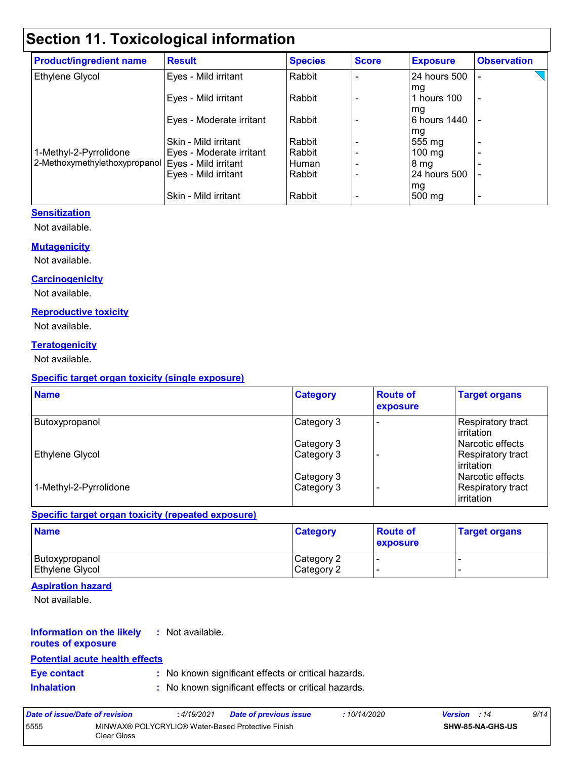## **Section 11. Toxicological information**

| <b>Product/ingredient name</b> | <b>Result</b>            | <b>Species</b> | <b>Score</b> | <b>Exposure</b>  | <b>Observation</b>       |
|--------------------------------|--------------------------|----------------|--------------|------------------|--------------------------|
| Ethylene Glycol                | Eyes - Mild irritant     | Rabbit         |              | 24 hours 500     |                          |
|                                |                          |                |              | mg               |                          |
|                                | Eyes - Mild irritant     | Rabbit         |              | 1 hours 100      | $\overline{\phantom{a}}$ |
|                                |                          |                |              | mg               |                          |
|                                | Eyes - Moderate irritant | Rabbit         |              | 6 hours 1440     |                          |
|                                |                          |                |              | mg               |                          |
|                                | Skin - Mild irritant     | Rabbit         |              | 555 mg           | $\overline{\phantom{0}}$ |
| 1-Methyl-2-Pyrrolidone         | Eyes - Moderate irritant | Rabbit         |              | $100 \text{ mg}$ | -                        |
| 2-Methoxymethylethoxypropanol  | Eyes - Mild irritant     | Human          |              | 8 mg             |                          |
|                                | Eyes - Mild irritant     | Rabbit         |              | 24 hours 500     |                          |
|                                |                          |                |              | mg               |                          |
|                                | Skin - Mild irritant     | Rabbit         |              | 500 mg           | $\overline{\phantom{0}}$ |

#### **Sensitization**

Not available.

#### **Mutagenicity**

Not available.

#### **Carcinogenicity**

Not available.

#### **Reproductive toxicity**

Not available.

#### **Teratogenicity**

Not available.

#### **Specific target organ toxicity (single exposure)**

| <b>Name</b>            | <b>Category</b> | <b>Route of</b><br>exposure | <b>Target organs</b>                    |
|------------------------|-----------------|-----------------------------|-----------------------------------------|
| Butoxypropanol         | Category 3      |                             | <b>Respiratory tract</b><br>lirritation |
|                        | Category 3      |                             | l Narcotic effects                      |
| Ethylene Glycol        | Category 3      |                             | Respiratory tract<br>l irritation       |
|                        | Category 3      |                             | Narcotic effects                        |
| 1-Methyl-2-Pyrrolidone | Category 3      |                             | <b>Respiratory tract</b><br>irritation  |

#### **Specific target organ toxicity (repeated exposure)**

| <b>Name</b>            | <b>Category</b> | <b>Route of</b><br><b>exposure</b> | <b>Target organs</b> |
|------------------------|-----------------|------------------------------------|----------------------|
| Butoxypropanol         | Category 2      | -                                  | -                    |
| <b>Ethylene Glycol</b> | Category 2      |                                    |                      |

#### **Aspiration hazard**

Not available.

#### **Information on the likely :** Not available.

### **routes of exposure**

### **Potential acute health effects**

- **Eye contact :** No known significant effects or critical hazards.
- **Inhalation :** No known significant effects or critical hazards.

| Date of issue/Date of revision |                                                                  | :4/19/2021 | <b>Date of previous issue</b> | : 10/14/2020 | <b>Version</b> : 14 | 9/14 |
|--------------------------------|------------------------------------------------------------------|------------|-------------------------------|--------------|---------------------|------|
| 5555                           | MINWAX® POLYCRYLIC® Water-Based Protective Finish<br>Clear Gloss |            |                               |              | SHW-85-NA-GHS-US    |      |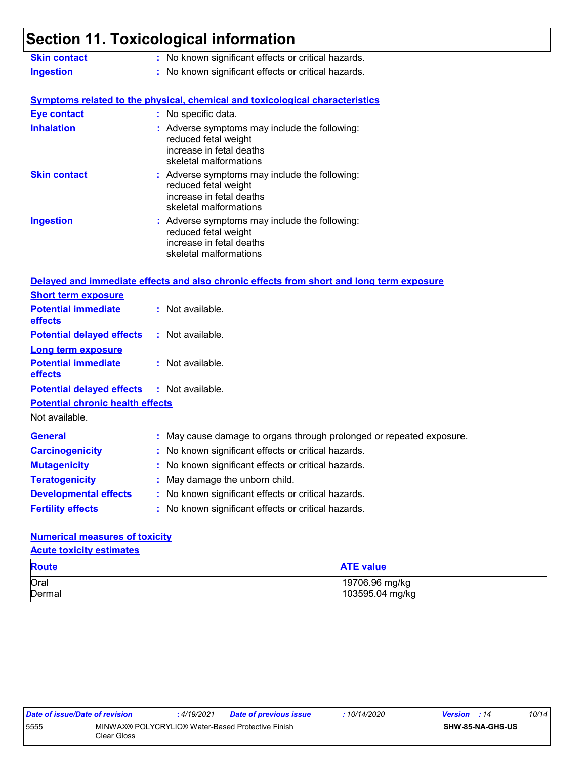## **Section 11. Toxicological information**

| <b>Skin contact</b>                                       | : No known significant effects or critical hazards.                                                                         |
|-----------------------------------------------------------|-----------------------------------------------------------------------------------------------------------------------------|
| <b>Ingestion</b>                                          | : No known significant effects or critical hazards.                                                                         |
|                                                           | <b>Symptoms related to the physical, chemical and toxicological characteristics</b>                                         |
| <b>Eye contact</b>                                        | : No specific data.                                                                                                         |
| <b>Inhalation</b>                                         | : Adverse symptoms may include the following:<br>reduced fetal weight<br>increase in fetal deaths<br>skeletal malformations |
| <b>Skin contact</b>                                       | : Adverse symptoms may include the following:<br>reduced fetal weight<br>increase in fetal deaths<br>skeletal malformations |
| <b>Ingestion</b>                                          | : Adverse symptoms may include the following:<br>reduced fetal weight<br>increase in fetal deaths<br>skeletal malformations |
|                                                           | Delayed and immediate effects and also chronic effects from short and long term exposure                                    |
| <b>Short term exposure</b>                                |                                                                                                                             |
| <b>Potential immediate</b><br>effects                     | : Not available.                                                                                                            |
| <b>Potential delayed effects</b>                          | : Not available.                                                                                                            |
| <b>Long term exposure</b>                                 |                                                                                                                             |
| <b>Potential immediate</b><br>effects                     | : Not available.                                                                                                            |
| <b>Potential delayed effects</b>                          | : Not available.                                                                                                            |
| <b>Potential chronic health effects</b><br>Not available. |                                                                                                                             |
| <b>General</b>                                            | : May cause damage to organs through prolonged or repeated exposure.                                                        |
| <b>Carcinogenicity</b>                                    | : No known significant effects or critical hazards.                                                                         |
| <b>Mutagenicity</b>                                       | : No known significant effects or critical hazards.                                                                         |
| <b>Teratogenicity</b>                                     | : May damage the unborn child.                                                                                              |
| <b>Developmental effects</b>                              | : No known significant effects or critical hazards.                                                                         |
| <b>Fertility effects</b>                                  | : No known significant effects or critical hazards.                                                                         |

#### **Numerical measures of toxicity**

**Acute toxicity estimates**

| <b>Route</b> | <b>ATE value</b> |  |
|--------------|------------------|--|
| Oral         | 19706.96 mg/kg   |  |
| Dermal       | 103595.04 mg/kg  |  |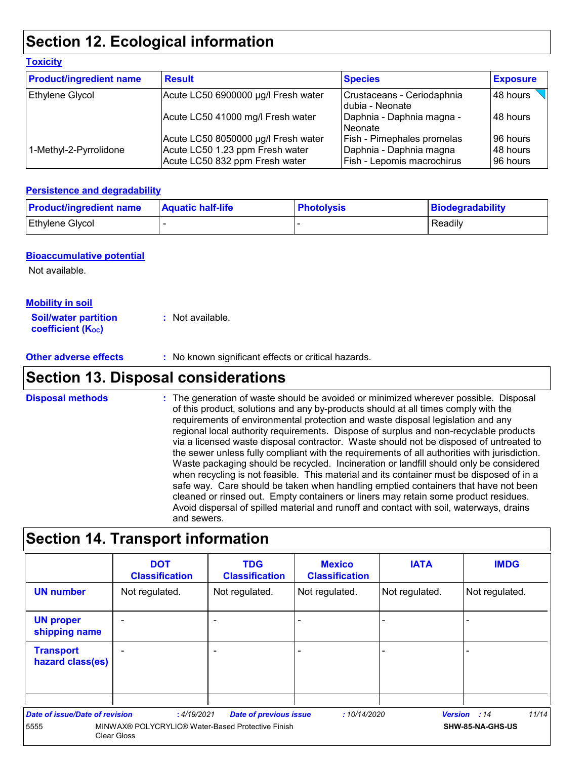### **Section 12. Ecological information**

| <b>Product/ingredient name</b> | <b>Result</b>                                                     | <b>Species</b>                                        | <b>Exposure</b>      |  |
|--------------------------------|-------------------------------------------------------------------|-------------------------------------------------------|----------------------|--|
| Ethylene Glycol                | Acute LC50 6900000 µg/l Fresh water                               | Crustaceans - Ceriodaphnia<br>dubia - Neonate         | 48 hours             |  |
|                                | Acute LC50 41000 mg/l Fresh water                                 | Daphnia - Daphnia magna -<br>Neonate                  | l 48 hours           |  |
|                                | Acute LC50 8050000 µg/l Fresh water                               | Fish - Pimephales promelas                            | 96 hours             |  |
| 1-Methyl-2-Pyrrolidone         | Acute LC50 1.23 ppm Fresh water<br>Acute LC50 832 ppm Fresh water | Daphnia - Daphnia magna<br>Fish - Lepomis macrochirus | 48 hours<br>96 hours |  |

#### **Persistence and degradability**

| <b>Product/ingredient name</b> | <b>Aquatic half-life</b> | <b>Photolysis</b> | Biodegradability |
|--------------------------------|--------------------------|-------------------|------------------|
| <b>Ethylene Glycol</b>         |                          |                   | Readily          |

#### **Bioaccumulative potential**

Not available.

**Toxicity**

#### **Mobility in soil**

**Soil/water partition coefficient (K**<sub>oc</sub>) **:** Not available.

**Other adverse effects :** No known significant effects or critical hazards.

### **Section 13. Disposal considerations**

The generation of waste should be avoided or minimized wherever possible. Disposal of this product, solutions and any by-products should at all times comply with the requirements of environmental protection and waste disposal legislation and any regional local authority requirements. Dispose of surplus and non-recyclable products via a licensed waste disposal contractor. Waste should not be disposed of untreated to the sewer unless fully compliant with the requirements of all authorities with jurisdiction. Waste packaging should be recycled. Incineration or landfill should only be considered when recycling is not feasible. This material and its container must be disposed of in a safe way. Care should be taken when handling emptied containers that have not been cleaned or rinsed out. Empty containers or liners may retain some product residues. Avoid dispersal of spilled material and runoff and contact with soil, waterways, drains and sewers. **Disposal methods :**

### **Section 14. Transport information**

|                                      | <b>DOT</b><br><b>Classification</b>                              | <b>TDG</b><br><b>Classification</b> | <b>Mexico</b><br><b>Classification</b> | <b>IATA</b>    | <b>IMDG</b>           |
|--------------------------------------|------------------------------------------------------------------|-------------------------------------|----------------------------------------|----------------|-----------------------|
| <b>UN number</b>                     | Not regulated.                                                   | Not regulated.                      | Not regulated.                         | Not regulated. | Not regulated.        |
| <b>UN proper</b><br>shipping name    |                                                                  |                                     |                                        | -              |                       |
| <b>Transport</b><br>hazard class(es) | $\overline{\phantom{0}}$                                         |                                     |                                        | -              |                       |
| Date of issue/Date of revision       | :4/19/2021                                                       | <b>Date of previous issue</b>       | :10/14/2020                            |                | 11/14<br>Version : 14 |
| 5555                                 | MINWAX® POLYCRYLIC® Water-Based Protective Finish<br>Clear Gloss |                                     |                                        |                | SHW-85-NA-GHS-US      |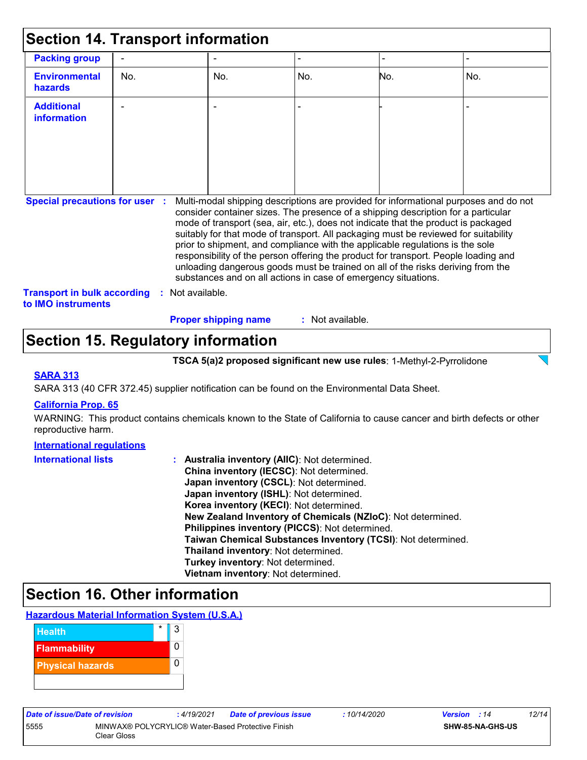| <b>Section 14. Transport information</b>                                    |     |                |                                                                                                                                                                                                                                                                                                                                                                                                                                                                                                                                                                                                                                                                                     |                  |     |                          |
|-----------------------------------------------------------------------------|-----|----------------|-------------------------------------------------------------------------------------------------------------------------------------------------------------------------------------------------------------------------------------------------------------------------------------------------------------------------------------------------------------------------------------------------------------------------------------------------------------------------------------------------------------------------------------------------------------------------------------------------------------------------------------------------------------------------------------|------------------|-----|--------------------------|
| <b>Packing group</b>                                                        |     |                |                                                                                                                                                                                                                                                                                                                                                                                                                                                                                                                                                                                                                                                                                     |                  |     | $\overline{\phantom{0}}$ |
| <b>Environmental</b><br>hazards                                             | No. |                | No.                                                                                                                                                                                                                                                                                                                                                                                                                                                                                                                                                                                                                                                                                 | No.              | No. | No.                      |
| <b>Additional</b><br>information                                            |     |                |                                                                                                                                                                                                                                                                                                                                                                                                                                                                                                                                                                                                                                                                                     |                  |     |                          |
| <b>Special precautions for user :</b><br><b>Transport in bulk according</b> | ÷   | Not available. | Multi-modal shipping descriptions are provided for informational purposes and do not<br>consider container sizes. The presence of a shipping description for a particular<br>mode of transport (sea, air, etc.), does not indicate that the product is packaged<br>suitably for that mode of transport. All packaging must be reviewed for suitability<br>prior to shipment, and compliance with the applicable regulations is the sole<br>responsibility of the person offering the product for transport. People loading and<br>unloading dangerous goods must be trained on all of the risks deriving from the<br>substances and on all actions in case of emergency situations. |                  |     |                          |
| to IMO instruments                                                          |     |                | <b>Proper shipping name</b>                                                                                                                                                                                                                                                                                                                                                                                                                                                                                                                                                                                                                                                         | : Not available. |     |                          |

### **Section 15. Regulatory information**

**TSCA 5(a)2 proposed significant new use rules**: 1-Methyl-2-Pyrrolidone

#### **SARA 313**

SARA 313 (40 CFR 372.45) supplier notification can be found on the Environmental Data Sheet.

#### **California Prop. 65**

WARNING: This product contains chemicals known to the State of California to cause cancer and birth defects or other reproductive harm.

| <b>International requlations</b> |                                                              |
|----------------------------------|--------------------------------------------------------------|
| <b>International lists</b>       | : Australia inventory (AIIC): Not determined.                |
|                                  | China inventory (IECSC): Not determined.                     |
|                                  | Japan inventory (CSCL): Not determined.                      |
|                                  | Japan inventory (ISHL): Not determined.                      |
|                                  | Korea inventory (KECI): Not determined.                      |
|                                  | New Zealand Inventory of Chemicals (NZIoC): Not determined.  |
|                                  | Philippines inventory (PICCS): Not determined.               |
|                                  | Taiwan Chemical Substances Inventory (TCSI): Not determined. |
|                                  | Thailand inventory: Not determined.                          |
|                                  | Turkey inventory: Not determined.                            |
|                                  | Vietnam inventory: Not determined.                           |

### **Section 16. Other information**





| Date of issue/Date of revision |                                                                  | : 4/19/2021 | Date of previous issue | : 10/14/2020 | <b>Version</b> : 14 |                         | 12/14 |
|--------------------------------|------------------------------------------------------------------|-------------|------------------------|--------------|---------------------|-------------------------|-------|
| 5555                           | MINWAX® POLYCRYLIC® Water-Based Protective Finish<br>Clear Gloss |             |                        |              |                     | <b>SHW-85-NA-GHS-US</b> |       |